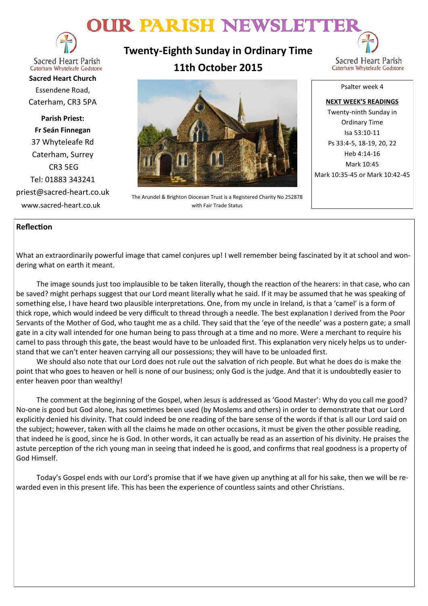# OUR PARISH NEWSLETTER



**Sacred Heart Parish** Caterham Whyteleafe Godstone

**Sacred Heart Church** Essendene Road, Caterham, CR3 5PA

**Parish Priest: Fr Seán Finnegan** 37 Whyteleafe Rd Caterham, Surrey CR3 5EG Tel: 01883 343241 priest@sacred-heart.co.uk www.sacred-heart.co.uk

**Twenty-Eighth Sunday in Ordinary Time 11th October 2015**



The Arundel & Brighton Diocesan Trust is a Registered Charity No 252878 with Fair Trade Status

Psalter week 4

**NEXT WEEK'S READINGS** Twenty-ninth Sunday in Ordinary Time Isa 53:10-11 Ps 33:4-5, 18-19, 20, 22 Heb 4:14-16 Mark 10:45 Mark 10:35-45 or Mark 10:42-45

#### **Reflection**

What an extraordinarily powerful image that camel conjures up! I well remember being fascinated by it at school and wondering what on earth it meant.

The image sounds just too implausible to be taken literally, though the reaction of the hearers: in that case, who can be saved? might perhaps suggest that our Lord meant literally what he said. If it may be assumed that he was speaking of something else, I have heard two plausible interpretations. One, from my uncle in Ireland, is that a 'camel' is a form of thick rope, which would indeed be very difficult to thread through a needle. The best explanation I derived from the Poor Servants of the Mother of God, who taught me as a child. They said that the 'eye of the needle' was a postern gate; a small gate in a city wall intended for one human being to pass through at a time and no more. Were a merchant to require his camel to pass through this gate, the beast would have to be unloaded first. This explanation very nicely helps us to understand that we can't enter heaven carrying all our possessions; they will have to be unloaded first.

We should also note that our Lord does not rule out the salvation of rich people. But what he does do is make the point that who goes to heaven or hell is none of our business; only God is the judge. And that it is undoubtedly easier to enter heaven poor than wealthy!

The comment at the beginning of the Gospel, when Jesus is addressed as 'Good Master': Why do you call me good? No-one is good but God alone, has sometimes been used (by Moslems and others) in order to demonstrate that our Lord explicitly denied his divinity. That could indeed be one reading of the bare sense of the words if that is all our Lord said on the subject; however, taken with all the claims he made on other occasions, it must be given the other possible reading, that indeed he is good, since he is God. In other words, it can actually be read as an assertion of his divinity. He praises the astute perception of the rich young man in seeing that indeed he is good, and confirms that real goodness is a property of God Himself.

Today's Gospel ends with our Lord's promise that if we have given up anything at all for his sake, then we will be rewarded even in this present life. This has been the experience of countless saints and other Christians.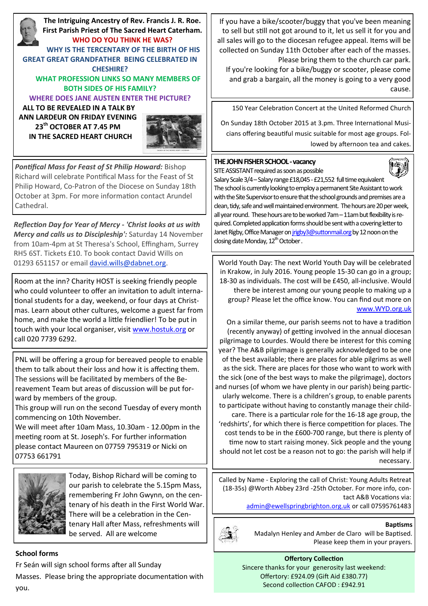**The Intriguing Ancestry of Rev. Francis J. R. Roe. First Parish Priest of The Sacred Heart Caterham. WHO DO YOU THINK HE WAS? WHY IS THE TERCENTARY OF THE BIRTH OF HIS GREAT GREAT GRANDFATHER BEING CELEBRATED IN CHESHIRE? WHAT PROFESSION LINKS SO MANY MEMBERS OF BOTH SIDES OF HIS FAMILY? WHERE DOES JANE AUSTEN ENTER THE PICTURE? ALL TO BE REVEALED IN A TALK BY ANN LARDEUR ON FRIDAY EVENING** 

**23th OCTOBER AT 7.45 PM IN THE SACRED HEART CHURCH**



*Pontifical Mass for Feast of St Philip Howard:* Bishop Richard will celebrate Pontifical Mass for the Feast of St Philip Howard, Co-Patron of the Diocese on Sunday 18th October at 3pm. For more information contact Arundel Cathedral.

*Reflection Day for Year of Mercy - 'Christ looks at us with Mercy and calls us to Discipleship':* Saturday 14 November from 10am-4pm at St Theresa's School, Effingham, Surrey RH5 6ST. Tickets £10. To book contact David Wills on 01293 651157 or email [david.wills@dabnet.org.](mailto:david.wills@dabnet.org?subject=Jeff%20Cavins%20Day%2014%20November)

Room at the inn? Charity HOST is seeking friendly people who could volunteer to offer an invitation to adult international students for a day, weekend, or four days at Christmas. Learn about other cultures, welcome a guest far from home, and make the world a little friendlier! To be put in touch with your local organiser, visit [www.hostuk.org](http://www.hostuk.org) or call 020 7739 6292.

PNL will be offering a group for bereaved people to enable them to talk about their loss and how it is affecting them. The sessions will be facilitated by members of the Bereavement Team but areas of discussion will be put forward by members of the group.

This group will run on the second Tuesday of every month commencing on 10th November.

We will meet after 10am Mass, 10.30am - 12.00pm in the meeting room at St. Joseph's. For further information please contact Maureen on 07759 795319 or Nicki on 07753 661791



Today, Bishop Richard will be coming to our parish to celebrate the 5.15pm Mass, remembering Fr John Gwynn, on the centenary of his death in the First World War. There will be a celebration in the Centenary Hall after Mass, refreshments will be served. All are welcome

### **School forms**

Fr Seán will sign school forms after all Sunday Masses. Please bring the appropriate documentation with you.

If you have a bike/scooter/buggy that you've been meaning to sell but still not got around to it, let us sell it for you and all sales will go to the diocesan refugee appeal. Items will be collected on Sunday 11th October after each of the masses. Please bring them to the church car park.

If you're looking for a bike/buggy or scooter, please come and grab a bargain, all the money is going to a very good cause.

150 Year Celebration Concert at the United Reformed Church

On Sunday 18th October 2015 at 3.pm. Three International Musicians offering beautiful music suitable for most age groups. Followed by afternoon tea and cakes.

#### **THE JOHN FISHER SCHOOL -vacancy**



SITE ASSISTANT required as soon as possible Salary Scale 3/4 – Salary range £18,045 - £21,552 full time equivalent The school is currently looking to employ a permanent Site Assistant to work with the Site Supervisor to ensure that the school grounds and premises are a clean, tidy, safe and well maintained environment. The hours are 20 per week, all year round. These hours are to be worked 7am –11am but flexibility is required. Completed application forms should be sent with a covering letter to Janet Rigby, Office Manager on *jrigby3@suttonmail.org* by 12 noon on the closing date Monday, 12<sup>th</sup> October .

World Youth Day: The next World Youth Day will be celebrated in Krakow, in July 2016. Young people 15-30 can go in a group; 18-30 as individuals. The cost will be £450, all-inclusive. Would there be interest among our young people to making up a group? Please let the office know. You can find out more on [www.WYD.org.uk](http://www.WYD.org.uk)

On a similar theme, our parish seems not to have a tradition (recently anyway) of getting involved in the annual diocesan pilgrimage to Lourdes. Would there be interest for this coming year? The A&B pilgrimage is generally acknowledged to be one of the best available; there are places for able pilgrims as well as the sick. There are places for those who want to work with the sick (one of the best ways to make the pilgrimage), doctors and nurses (of whom we have plenty in our parish) being particularly welcome. There is a children's group, to enable parents to participate without having to constantly manage their childcare. There is a particular role for the 16-18 age group, the 'redshirts', for which there is fierce competition for places. The cost tends to be in the £600-700 range, but there is plenty of time now to start raising money. Sick people and the young should not let cost be a reason not to go: the parish will help if necessary.

Called by Name - Exploring the call of Christ: Young Adults Retreat (18-35s) @Worth Abbey 23rd -25th October. For more info, contact A&B Vocations via:

[admin@ewellspringbrighton.org.uk](mailto:admin@ewellspringbrighton.org.uk) or call 07595761483



Madalyn Henley and Amber de Claro will be Baptised. Please keep them in your prayers.

**Offertory Collection** Sincere thanks for your generosity last weekend: Offertory: £924.09 (Gift Aid £380.77) Second collection CAFOD : £942.91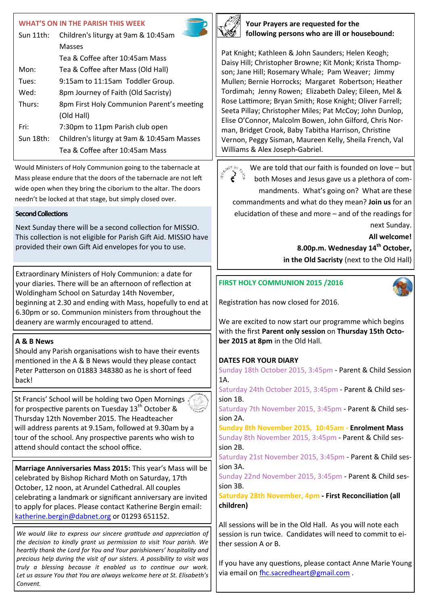#### **WHAT'S ON IN THE PARISH THIS WEEK**

| Sun $11$ th: | Children's liturgy at 9am & 10:45am        |  |
|--------------|--------------------------------------------|--|
|              | Masses                                     |  |
|              | Tea & Coffee after 10:45am Mass            |  |
| Mon:         | Tea & Coffee after Mass (Old Hall)         |  |
| Tues:        | 9:15am to 11:15am Toddler Group.           |  |
| Wed:         | 8pm Journey of Faith (Old Sacristy)        |  |
| Thurs:       | 8pm First Holy Communion Parent's meeting  |  |
|              | (Old Hall)                                 |  |
| Fri:         | 7:30pm to 11pm Parish club open            |  |
| Sun 18th:    | Children's liturgy at 9am & 10:45am Masses |  |
|              | Tea & Coffee after 10:45am Mass            |  |

Would Ministers of Holy Communion going to the tabernacle at Mass please endure that the doors of the tabernacle are not left wide open when they bring the ciborium to the altar. The doors needn't be locked at that stage, but simply closed over.

## **Second Collections**

Next Sunday there will be a second collection for MISSIO. This collection is not eligible for Parish Gift Aid. MISSIO have provided their own Gift Aid envelopes for you to use.

Extraordinary Ministers of Holy Communion: a date for your diaries. There will be an afternoon of reflection at Woldingham School on Saturday 14th November, beginning at 2.30 and ending with Mass, hopefully to end at 6.30pm or so. Communion ministers from throughout the deanery are warmly encouraged to attend.

# **A & B News**

Should any Parish organisations wish to have their events mentioned in the A & B News would they please contact Peter Patterson on 01883 348380 as he is short of feed back!

St Francis' School will be holding two Open Mornings for prospective parents on Tuesday  $13<sup>th</sup>$  October & Thursday 12th November 2015. The Headteacher will address parents at 9.15am, followed at 9.30am by a tour of the school. Any prospective parents who wish to attend should contact the school office.

**Marriage Anniversaries Mass 2015:** This year's Mass will be celebrated by Bishop Richard Moth on Saturday, 17th October, 12 noon, at Arundel Cathedral. All couples celebrating a landmark or significant anniversary are invited to apply for places. Please contact Katherine Bergin email: [katherine.bergin@dabnet.org](mailto:katherine.bergin@dabnet.org) or 01293 651152.

*We would like to express our sincere gratitude and appreciation of the decision to kindly grant us permission to visit Your parish. We heartily thank the Lord for You and Your parishioners' hospitality and precious help during the visit of our sisters. A possibility to visit was truly a blessing because it enabled us to continue our work. Let us assure You that You are always welcome here at St. Elisabeth's Convent.*



**Your Prayers are requested for the following persons who are ill or housebound:**

Pat Knight; Kathleen & John Saunders; Helen Keogh; Daisy Hill; Christopher Browne; Kit Monk; Krista Thompson; Jane Hill; Rosemary Whale; Pam Weaver; Jimmy Mullen; Bernie Horrocks; Margaret Robertson; Heather Tordimah; Jenny Rowen; Elizabeth Daley; Eileen, Mel & Rose Lattimore; Bryan Smith; Rose Knight; Oliver Farrell; Seeta Pillay; Christopher Miles; Pat McCoy; John Dunlop, Elise O'Connor, Malcolm Bowen, John Gilford, Chris Norman, Bridget Crook, Baby Tabitha Harrison, Christine Vernon, Peggy Sisman, Maureen Kelly, Sheila French, Val Williams & Alex Joseph-Gabriel.

 $\sum_{i=1}^{n} \sum_{j=1}^{n} \sum_{j=1}^{n} \sum_{j=1}^{n}$ We are told that our faith is founded on love – but ं both Moses and Jesus gave us a plethora of commandments. What's going on? What are these commandments and what do they mean? **Join us** for an elucidation of these and more – and of the readings for next Sunday.

**All welcome!** 

**8.00p.m. Wednesday 14th October,** 

**in the Old Sacristy** (next to the Old Hall)

## **FIRST HOLY COMMUNION 2015 /2016**

Registration has now closed for 2016.

We are excited to now start our programme which begins with the first **Parent only session** on **Thursday 15th October 2015 at 8pm** in the Old Hall.

# **DATES FOR YOUR DIARY**

Sunday 18th October 2015, 3:45pm - Parent & Child Session 1A.

Saturday 24th October 2015, 3:45pm - Parent & Child session 1B.

Saturday 7th November 2015, 3:45pm - Parent & Child session 2A.

**Sunday 8th November 2015, 10:45am - Enrolment Mass** Sunday 8th November 2015, 3:45pm - Parent & Child session 2B.

Saturday 21st November 2015, 3:45pm - Parent & Child session 3A.

Sunday 22nd November 2015, 3:45pm - Parent & Child session 3B.

**Saturday 28th November, 4pm - First Reconciliation (all children)**

All sessions will be in the Old Hall. As you will note each session is run twice. Candidates will need to commit to either session A or B.

If you have any questions, please contact Anne Marie Young via email on [fhc.sacredheart@gmail.com](mailto:fhc.sacredheart@gmail.com).